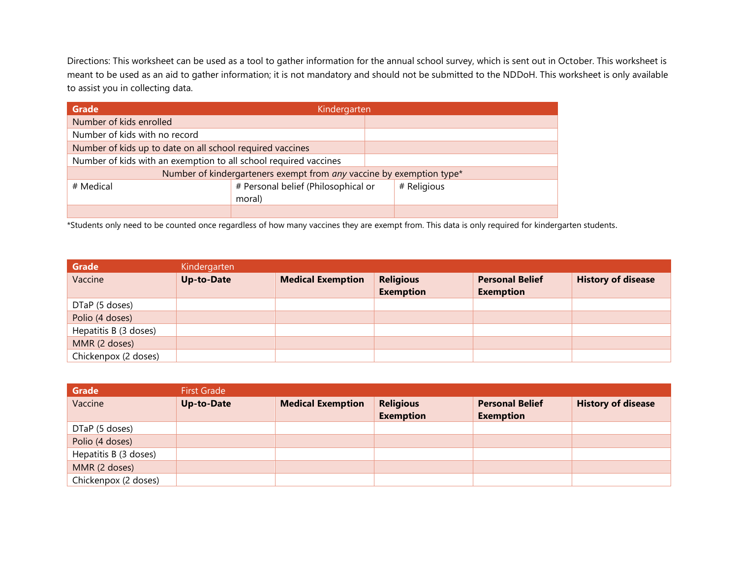Directions: This worksheet can be used as a tool to gather information for the annual school survey, which is sent out in October. This worksheet is meant to be used as an aid to gather information; it is not mandatory and should not be submitted to the NDDoH. This worksheet is only available to assist you in collecting data.

| <b>Grade</b>                                                     | Kindergarten                                                         |  |             |  |  |
|------------------------------------------------------------------|----------------------------------------------------------------------|--|-------------|--|--|
| Number of kids enrolled                                          |                                                                      |  |             |  |  |
| Number of kids with no record                                    |                                                                      |  |             |  |  |
| Number of kids up to date on all school required vaccines        |                                                                      |  |             |  |  |
| Number of kids with an exemption to all school required vaccines |                                                                      |  |             |  |  |
|                                                                  | Number of kindergarteners exempt from any vaccine by exemption type* |  |             |  |  |
| # Medical                                                        | # Personal belief (Philosophical or                                  |  | # Religious |  |  |
|                                                                  | moral)                                                               |  |             |  |  |
|                                                                  |                                                                      |  |             |  |  |

\*Students only need to be counted once regardless of how many vaccines they are exempt from. This data is only required for kindergarten students.

| Grade                 | Kindergarten      |                          |                                      |                                            |                           |
|-----------------------|-------------------|--------------------------|--------------------------------------|--------------------------------------------|---------------------------|
| Vaccine               | <b>Up-to-Date</b> | <b>Medical Exemption</b> | <b>Religious</b><br><b>Exemption</b> | <b>Personal Belief</b><br><b>Exemption</b> | <b>History of disease</b> |
| DTaP (5 doses)        |                   |                          |                                      |                                            |                           |
| Polio (4 doses)       |                   |                          |                                      |                                            |                           |
| Hepatitis B (3 doses) |                   |                          |                                      |                                            |                           |
| MMR (2 doses)         |                   |                          |                                      |                                            |                           |
| Chickenpox (2 doses)  |                   |                          |                                      |                                            |                           |

| Grade                 | <b>First Grade</b> |                          |                                      |                                            |                           |
|-----------------------|--------------------|--------------------------|--------------------------------------|--------------------------------------------|---------------------------|
| Vaccine               | <b>Up-to-Date</b>  | <b>Medical Exemption</b> | <b>Religious</b><br><b>Exemption</b> | <b>Personal Belief</b><br><b>Exemption</b> | <b>History of disease</b> |
| DTaP (5 doses)        |                    |                          |                                      |                                            |                           |
| Polio (4 doses)       |                    |                          |                                      |                                            |                           |
| Hepatitis B (3 doses) |                    |                          |                                      |                                            |                           |
| MMR (2 doses)         |                    |                          |                                      |                                            |                           |
| Chickenpox (2 doses)  |                    |                          |                                      |                                            |                           |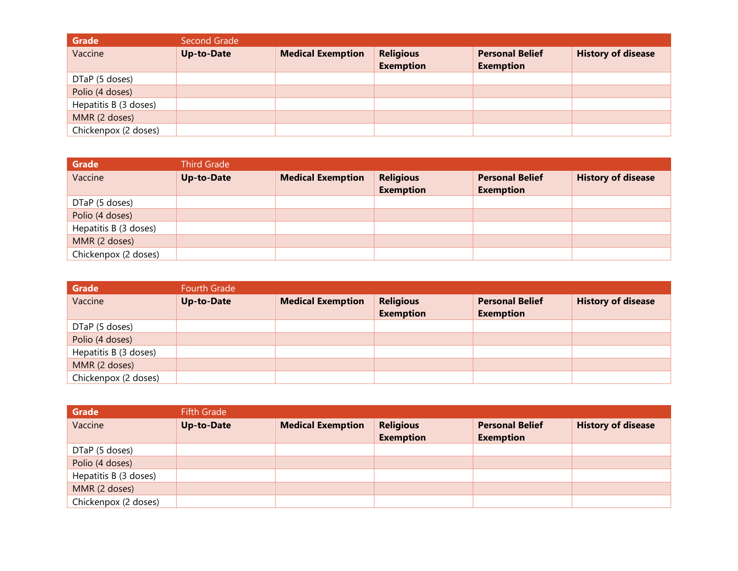| <b>Grade</b>          | Second Grade      |                          |                                      |                                            |                           |
|-----------------------|-------------------|--------------------------|--------------------------------------|--------------------------------------------|---------------------------|
| Vaccine               | <b>Up-to-Date</b> | <b>Medical Exemption</b> | <b>Religious</b><br><b>Exemption</b> | <b>Personal Belief</b><br><b>Exemption</b> | <b>History of disease</b> |
| DTaP (5 doses)        |                   |                          |                                      |                                            |                           |
| Polio (4 doses)       |                   |                          |                                      |                                            |                           |
| Hepatitis B (3 doses) |                   |                          |                                      |                                            |                           |
| MMR (2 doses)         |                   |                          |                                      |                                            |                           |
| Chickenpox (2 doses)  |                   |                          |                                      |                                            |                           |

| Grade                 | <b>Third Grade</b> |                          |                                      |                                            |                           |
|-----------------------|--------------------|--------------------------|--------------------------------------|--------------------------------------------|---------------------------|
| Vaccine               | <b>Up-to-Date</b>  | <b>Medical Exemption</b> | <b>Religious</b><br><b>Exemption</b> | <b>Personal Belief</b><br><b>Exemption</b> | <b>History of disease</b> |
| DTaP (5 doses)        |                    |                          |                                      |                                            |                           |
| Polio (4 doses)       |                    |                          |                                      |                                            |                           |
| Hepatitis B (3 doses) |                    |                          |                                      |                                            |                           |
| MMR (2 doses)         |                    |                          |                                      |                                            |                           |
| Chickenpox (2 doses)  |                    |                          |                                      |                                            |                           |

| Grade                 | Fourth Grade      |                          |                                      |                                            |                           |
|-----------------------|-------------------|--------------------------|--------------------------------------|--------------------------------------------|---------------------------|
| Vaccine               | <b>Up-to-Date</b> | <b>Medical Exemption</b> | <b>Religious</b><br><b>Exemption</b> | <b>Personal Belief</b><br><b>Exemption</b> | <b>History of disease</b> |
| DTaP (5 doses)        |                   |                          |                                      |                                            |                           |
| Polio (4 doses)       |                   |                          |                                      |                                            |                           |
| Hepatitis B (3 doses) |                   |                          |                                      |                                            |                           |
| MMR (2 doses)         |                   |                          |                                      |                                            |                           |
| Chickenpox (2 doses)  |                   |                          |                                      |                                            |                           |

| Grade                 | <b>Fifth Grade</b> |                          |                                      |                                            |                           |
|-----------------------|--------------------|--------------------------|--------------------------------------|--------------------------------------------|---------------------------|
| Vaccine               | <b>Up-to-Date</b>  | <b>Medical Exemption</b> | <b>Religious</b><br><b>Exemption</b> | <b>Personal Belief</b><br><b>Exemption</b> | <b>History of disease</b> |
| DTaP (5 doses)        |                    |                          |                                      |                                            |                           |
| Polio (4 doses)       |                    |                          |                                      |                                            |                           |
| Hepatitis B (3 doses) |                    |                          |                                      |                                            |                           |
| MMR (2 doses)         |                    |                          |                                      |                                            |                           |
| Chickenpox (2 doses)  |                    |                          |                                      |                                            |                           |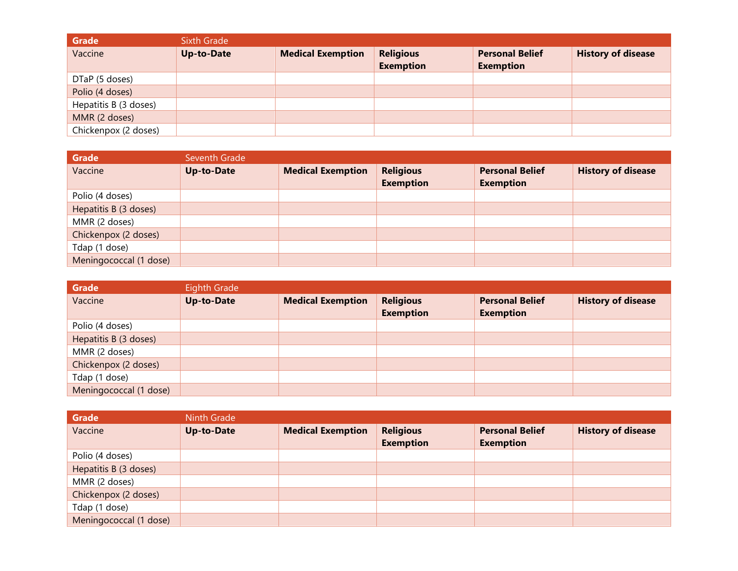| <b>Grade</b>          | <b>Sixth Grade</b> |                          |                                      |                                            |                           |
|-----------------------|--------------------|--------------------------|--------------------------------------|--------------------------------------------|---------------------------|
| Vaccine               | <b>Up-to-Date</b>  | <b>Medical Exemption</b> | <b>Religious</b><br><b>Exemption</b> | <b>Personal Belief</b><br><b>Exemption</b> | <b>History of disease</b> |
| DTaP (5 doses)        |                    |                          |                                      |                                            |                           |
| Polio (4 doses)       |                    |                          |                                      |                                            |                           |
| Hepatitis B (3 doses) |                    |                          |                                      |                                            |                           |
| MMR (2 doses)         |                    |                          |                                      |                                            |                           |
| Chickenpox (2 doses)  |                    |                          |                                      |                                            |                           |

| <b>Grade</b>           | Seventh Grade     |                          |                                      |                                            |                           |
|------------------------|-------------------|--------------------------|--------------------------------------|--------------------------------------------|---------------------------|
| Vaccine                | <b>Up-to-Date</b> | <b>Medical Exemption</b> | <b>Religious</b><br><b>Exemption</b> | <b>Personal Belief</b><br><b>Exemption</b> | <b>History of disease</b> |
| Polio (4 doses)        |                   |                          |                                      |                                            |                           |
| Hepatitis B (3 doses)  |                   |                          |                                      |                                            |                           |
| MMR (2 doses)          |                   |                          |                                      |                                            |                           |
| Chickenpox (2 doses)   |                   |                          |                                      |                                            |                           |
| Tdap (1 dose)          |                   |                          |                                      |                                            |                           |
| Meningococcal (1 dose) |                   |                          |                                      |                                            |                           |

| <b>Grade</b>           | Eighth Grade      |                          |                                      |                                            |                           |
|------------------------|-------------------|--------------------------|--------------------------------------|--------------------------------------------|---------------------------|
| Vaccine                | <b>Up-to-Date</b> | <b>Medical Exemption</b> | <b>Religious</b><br><b>Exemption</b> | <b>Personal Belief</b><br><b>Exemption</b> | <b>History of disease</b> |
| Polio (4 doses)        |                   |                          |                                      |                                            |                           |
| Hepatitis B (3 doses)  |                   |                          |                                      |                                            |                           |
| MMR (2 doses)          |                   |                          |                                      |                                            |                           |
| Chickenpox (2 doses)   |                   |                          |                                      |                                            |                           |
| Tdap (1 dose)          |                   |                          |                                      |                                            |                           |
| Meningococcal (1 dose) |                   |                          |                                      |                                            |                           |

| <b>Grade</b>           | <b>Ninth Grade</b> |                          |                                      |                                            |                           |
|------------------------|--------------------|--------------------------|--------------------------------------|--------------------------------------------|---------------------------|
| Vaccine                | <b>Up-to-Date</b>  | <b>Medical Exemption</b> | <b>Religious</b><br><b>Exemption</b> | <b>Personal Belief</b><br><b>Exemption</b> | <b>History of disease</b> |
| Polio (4 doses)        |                    |                          |                                      |                                            |                           |
| Hepatitis B (3 doses)  |                    |                          |                                      |                                            |                           |
| MMR (2 doses)          |                    |                          |                                      |                                            |                           |
| Chickenpox (2 doses)   |                    |                          |                                      |                                            |                           |
| Tdap (1 dose)          |                    |                          |                                      |                                            |                           |
| Meningococcal (1 dose) |                    |                          |                                      |                                            |                           |